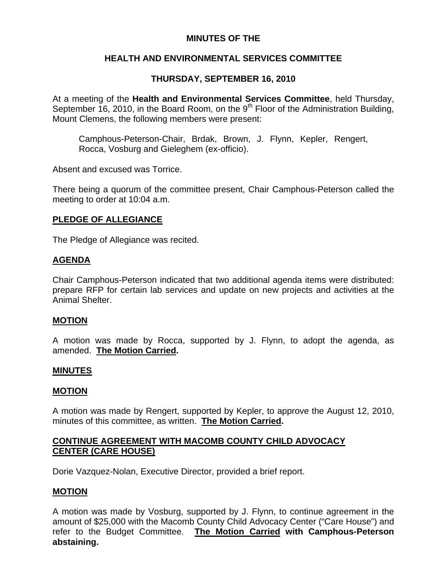## **MINUTES OF THE**

# **HEALTH AND ENVIRONMENTAL SERVICES COMMITTEE**

# **THURSDAY, SEPTEMBER 16, 2010**

At a meeting of the **Health and Environmental Services Committee**, held Thursday, September 16, 2010, in the Board Room, on the  $9<sup>th</sup>$  Floor of the Administration Building, Mount Clemens, the following members were present:

Camphous-Peterson-Chair, Brdak, Brown, J. Flynn, Kepler, Rengert, Rocca, Vosburg and Gieleghem (ex-officio).

Absent and excused was Torrice.

There being a quorum of the committee present, Chair Camphous-Peterson called the meeting to order at 10:04 a.m.

# **PLEDGE OF ALLEGIANCE**

The Pledge of Allegiance was recited.

# **AGENDA**

Chair Camphous-Peterson indicated that two additional agenda items were distributed: prepare RFP for certain lab services and update on new projects and activities at the Animal Shelter.

## **MOTION**

A motion was made by Rocca, supported by J. Flynn, to adopt the agenda, as amended. **The Motion Carried.** 

## **MINUTES**

## **MOTION**

A motion was made by Rengert, supported by Kepler, to approve the August 12, 2010, minutes of this committee, as written. **The Motion Carried.** 

## **CONTINUE AGREEMENT WITH MACOMB COUNTY CHILD ADVOCACY CENTER (CARE HOUSE)**

Dorie Vazquez-Nolan, Executive Director, provided a brief report.

## **MOTION**

A motion was made by Vosburg, supported by J. Flynn, to continue agreement in the amount of \$25,000 with the Macomb County Child Advocacy Center ("Care House") and refer to the Budget Committee. **The Motion Carried with Camphous-Peterson abstaining.**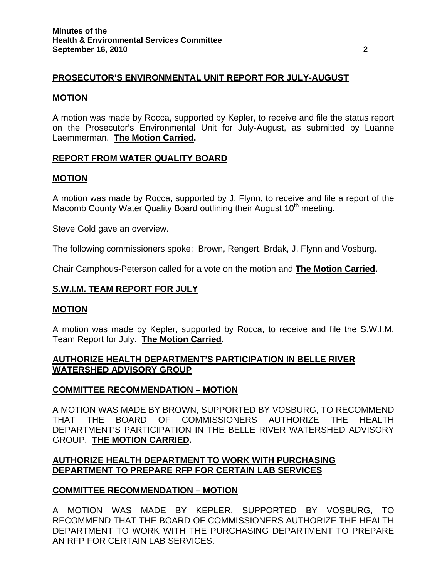# **PROSECUTOR'S ENVIRONMENTAL UNIT REPORT FOR JULY-AUGUST**

#### **MOTION**

A motion was made by Rocca, supported by Kepler, to receive and file the status report on the Prosecutor's Environmental Unit for July-August, as submitted by Luanne Laemmerman. **The Motion Carried.** 

### **REPORT FROM WATER QUALITY BOARD**

#### **MOTION**

A motion was made by Rocca, supported by J. Flynn, to receive and file a report of the Macomb County Water Quality Board outlining their August 10<sup>th</sup> meeting.

Steve Gold gave an overview.

The following commissioners spoke: Brown, Rengert, Brdak, J. Flynn and Vosburg.

Chair Camphous-Peterson called for a vote on the motion and **The Motion Carried.** 

## **S.W.I.M. TEAM REPORT FOR JULY**

#### **MOTION**

A motion was made by Kepler, supported by Rocca, to receive and file the S.W.I.M. Team Report for July. **The Motion Carried.** 

### **AUTHORIZE HEALTH DEPARTMENT'S PARTICIPATION IN BELLE RIVER WATERSHED ADVISORY GROUP**

#### **COMMITTEE RECOMMENDATION – MOTION**

A MOTION WAS MADE BY BROWN, SUPPORTED BY VOSBURG, TO RECOMMEND THAT THE BOARD OF COMMISSIONERS AUTHORIZE THE HEALTH DEPARTMENT'S PARTICIPATION IN THE BELLE RIVER WATERSHED ADVISORY GROUP. **THE MOTION CARRIED.** 

### **AUTHORIZE HEALTH DEPARTMENT TO WORK WITH PURCHASING DEPARTMENT TO PREPARE RFP FOR CERTAIN LAB SERVICES**

#### **COMMITTEE RECOMMENDATION – MOTION**

A MOTION WAS MADE BY KEPLER, SUPPORTED BY VOSBURG, TO RECOMMEND THAT THE BOARD OF COMMISSIONERS AUTHORIZE THE HEALTH DEPARTMENT TO WORK WITH THE PURCHASING DEPARTMENT TO PREPARE AN RFP FOR CERTAIN LAB SERVICES.